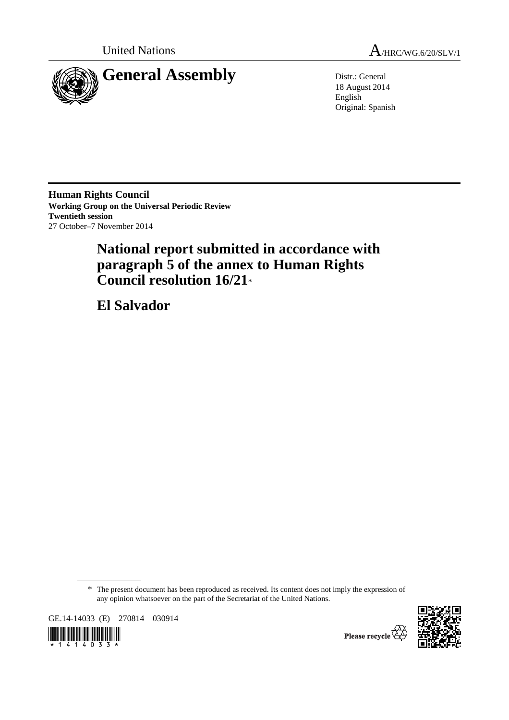



18 August 2014 English Original: Spanish

**Human Rights Council Working Group on the Universal Periodic Review Twentieth session**  27 October–7 November 2014

# **National report submitted in accordance with paragraph 5 of the annex to Human Rights Council resolution 16/21**\*

 **El Salvador** 

\* The present document has been reproduced as received. Its content does not imply the expression of any opinion whatsoever on the part of the Secretariat of the United Nations.

GE.14-14033 (E) 270814 030914





Please recycle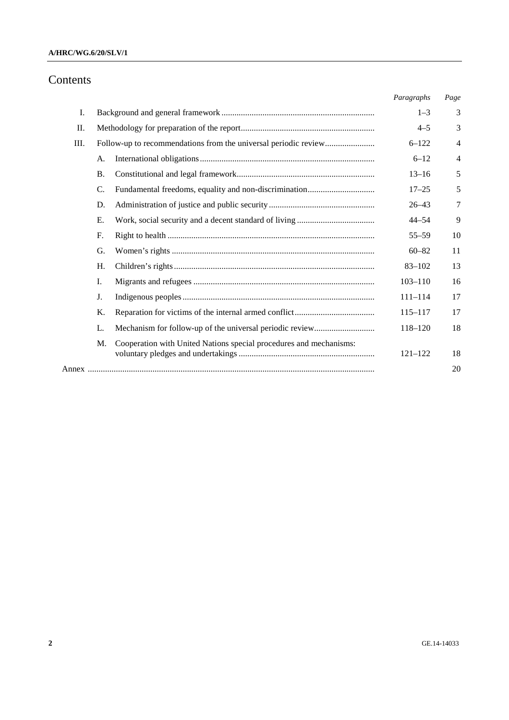# Contents

|    |                                                                 |                                                                    | Paragraphs  | Page           |
|----|-----------------------------------------------------------------|--------------------------------------------------------------------|-------------|----------------|
| I. |                                                                 |                                                                    | $1 - 3$     | 3              |
| Π. |                                                                 |                                                                    |             | 3              |
| Ш. | Follow-up to recommendations from the universal periodic review |                                                                    | $6 - 122$   | $\overline{4}$ |
|    | A.                                                              |                                                                    | $6 - 12$    | $\overline{4}$ |
|    | <b>B.</b>                                                       |                                                                    | $13 - 16$   | 5              |
|    | C.                                                              |                                                                    | $17 - 25$   | 5              |
|    | D.                                                              |                                                                    | $26 - 43$   | 7              |
|    | Ε.                                                              |                                                                    | $44 - 54$   | 9              |
|    | F.                                                              |                                                                    | $55 - 59$   | 10             |
|    | G.                                                              |                                                                    | $60 - 82$   | 11             |
|    | Η.                                                              |                                                                    | $83 - 102$  | 13             |
|    | Ι.                                                              |                                                                    | $103 - 110$ | 16             |
|    | J.                                                              |                                                                    | $111 - 114$ | 17             |
|    | Κ.                                                              |                                                                    | $115 - 117$ | 17             |
|    | L.                                                              |                                                                    | 118-120     | 18             |
|    | M.                                                              | Cooperation with United Nations special procedures and mechanisms: | $121 - 122$ | 18             |
|    |                                                                 |                                                                    |             | 20             |
|    |                                                                 |                                                                    |             |                |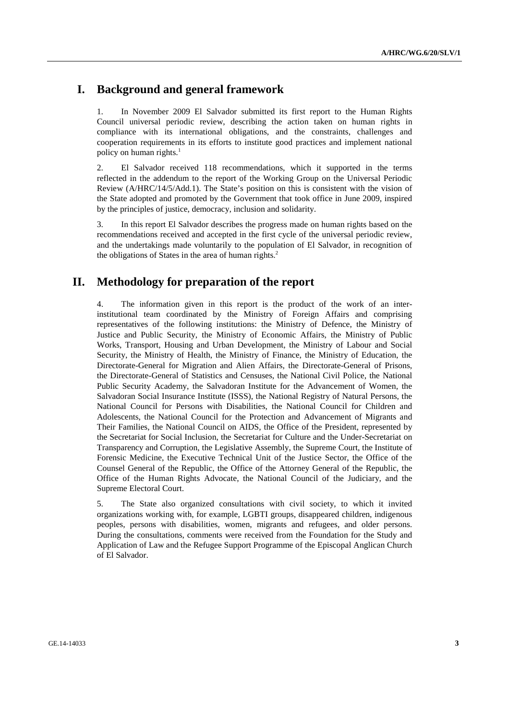# **I. Background and general framework**

1. In November 2009 El Salvador submitted its first report to the Human Rights Council universal periodic review, describing the action taken on human rights in compliance with its international obligations, and the constraints, challenges and cooperation requirements in its efforts to institute good practices and implement national policy on human rights. $<sup>1</sup>$ </sup>

2. El Salvador received 118 recommendations, which it supported in the terms reflected in the addendum to the report of the Working Group on the Universal Periodic Review (A/HRC/14/5/Add.1). The State's position on this is consistent with the vision of the State adopted and promoted by the Government that took office in June 2009, inspired by the principles of justice, democracy, inclusion and solidarity.

3. In this report El Salvador describes the progress made on human rights based on the recommendations received and accepted in the first cycle of the universal periodic review, and the undertakings made voluntarily to the population of El Salvador, in recognition of the obligations of States in the area of human rights. $<sup>2</sup>$ </sup>

# **II. Methodology for preparation of the report**

4. The information given in this report is the product of the work of an interinstitutional team coordinated by the Ministry of Foreign Affairs and comprising representatives of the following institutions: the Ministry of Defence, the Ministry of Justice and Public Security, the Ministry of Economic Affairs, the Ministry of Public Works, Transport, Housing and Urban Development, the Ministry of Labour and Social Security, the Ministry of Health, the Ministry of Finance, the Ministry of Education, the Directorate-General for Migration and Alien Affairs, the Directorate-General of Prisons, the Directorate-General of Statistics and Censuses, the National Civil Police, the National Public Security Academy, the Salvadoran Institute for the Advancement of Women, the Salvadoran Social Insurance Institute (ISSS), the National Registry of Natural Persons, the National Council for Persons with Disabilities, the National Council for Children and Adolescents, the National Council for the Protection and Advancement of Migrants and Their Families, the National Council on AIDS, the Office of the President, represented by the Secretariat for Social Inclusion, the Secretariat for Culture and the Under-Secretariat on Transparency and Corruption, the Legislative Assembly, the Supreme Court, the Institute of Forensic Medicine, the Executive Technical Unit of the Justice Sector, the Office of the Counsel General of the Republic, the Office of the Attorney General of the Republic, the Office of the Human Rights Advocate, the National Council of the Judiciary, and the Supreme Electoral Court.

5. The State also organized consultations with civil society, to which it invited organizations working with, for example, LGBTI groups, disappeared children, indigenous peoples, persons with disabilities, women, migrants and refugees, and older persons. During the consultations, comments were received from the Foundation for the Study and Application of Law and the Refugee Support Programme of the Episcopal Anglican Church of El Salvador.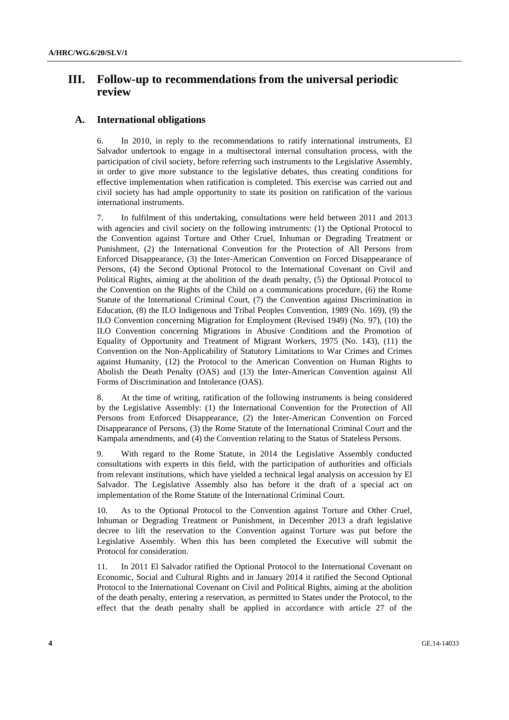# **III. Follow-up to recommendations from the universal periodic review**

#### **A. International obligations**

6. In 2010, in reply to the recommendations to ratify international instruments, El Salvador undertook to engage in a multisectoral internal consultation process, with the participation of civil society, before referring such instruments to the Legislative Assembly, in order to give more substance to the legislative debates, thus creating conditions for effective implementation when ratification is completed. This exercise was carried out and civil society has had ample opportunity to state its position on ratification of the various international instruments.

7. In fulfilment of this undertaking, consultations were held between 2011 and 2013 with agencies and civil society on the following instruments: (1) the Optional Protocol to the Convention against Torture and Other Cruel, Inhuman or Degrading Treatment or Punishment, (2) the International Convention for the Protection of All Persons from Enforced Disappearance, (3) the Inter-American Convention on Forced Disappearance of Persons, (4) the Second Optional Protocol to the International Covenant on Civil and Political Rights, aiming at the abolition of the death penalty, (5) the Optional Protocol to the Convention on the Rights of the Child on a communications procedure, (6) the Rome Statute of the International Criminal Court, (7) the Convention against Discrimination in Education, (8) the ILO Indigenous and Tribal Peoples Convention, 1989 (No. 169), (9) the ILO Convention concerning Migration for Employment (Revised 1949) (No. 97), (10) the ILO Convention concerning Migrations in Abusive Conditions and the Promotion of Equality of Opportunity and Treatment of Migrant Workers, 1975 (No. 143), (11) the Convention on the Non-Applicability of Statutory Limitations to War Crimes and Crimes against Humanity, (12) the Protocol to the American Convention on Human Rights to Abolish the Death Penalty (OAS) and (13) the Inter-American Convention against All Forms of Discrimination and Intolerance (OAS).

8. At the time of writing, ratification of the following instruments is being considered by the Legislative Assembly: (1) the International Convention for the Protection of All Persons from Enforced Disappearance, (2) the Inter-American Convention on Forced Disappearance of Persons, (3) the Rome Statute of the International Criminal Court and the Kampala amendments, and (4) the Convention relating to the Status of Stateless Persons.

9. With regard to the Rome Statute, in 2014 the Legislative Assembly conducted consultations with experts in this field, with the participation of authorities and officials from relevant institutions, which have yielded a technical legal analysis on accession by El Salvador. The Legislative Assembly also has before it the draft of a special act on implementation of the Rome Statute of the International Criminal Court.

10. As to the Optional Protocol to the Convention against Torture and Other Cruel, Inhuman or Degrading Treatment or Punishment, in December 2013 a draft legislative decree to lift the reservation to the Convention against Torture was put before the Legislative Assembly. When this has been completed the Executive will submit the Protocol for consideration.

11. In 2011 El Salvador ratified the Optional Protocol to the International Covenant on Economic, Social and Cultural Rights and in January 2014 it ratified the Second Optional Protocol to the International Covenant on Civil and Political Rights, aiming at the abolition of the death penalty, entering a reservation, as permitted to States under the Protocol, to the effect that the death penalty shall be applied in accordance with article 27 of the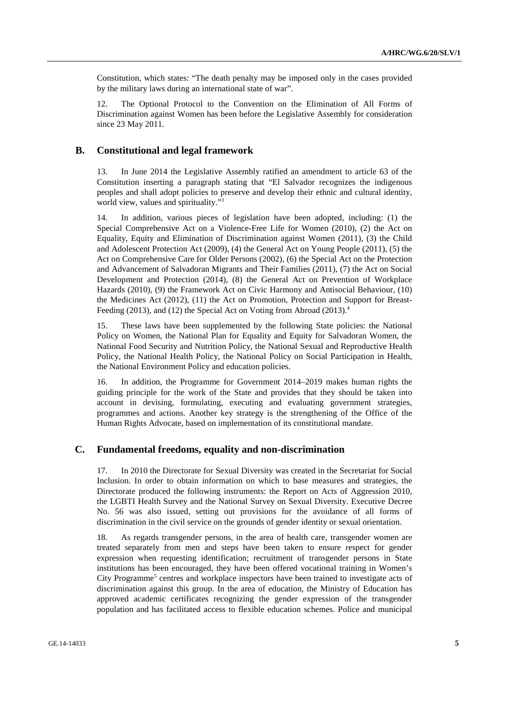Constitution, which states: "The death penalty may be imposed only in the cases provided by the military laws during an international state of war".

12. The Optional Protocol to the Convention on the Elimination of All Forms of Discrimination against Women has been before the Legislative Assembly for consideration since 23 May 2011.

#### **B. Constitutional and legal framework**

13. In June 2014 the Legislative Assembly ratified an amendment to article 63 of the Constitution inserting a paragraph stating that "El Salvador recognizes the indigenous peoples and shall adopt policies to preserve and develop their ethnic and cultural identity, world view, values and spirituality."<sup>3</sup>

14. In addition, various pieces of legislation have been adopted, including: (1) the Special Comprehensive Act on a Violence-Free Life for Women (2010), (2) the Act on Equality, Equity and Elimination of Discrimination against Women (2011), (3) the Child and Adolescent Protection Act (2009), (4) the General Act on Young People (2011), (5) the Act on Comprehensive Care for Older Persons (2002), (6) the Special Act on the Protection and Advancement of Salvadoran Migrants and Their Families (2011), (7) the Act on Social Development and Protection (2014), (8) the General Act on Prevention of Workplace Hazards (2010), (9) the Framework Act on Civic Harmony and Antisocial Behaviour, (10) the Medicines Act (2012), (11) the Act on Promotion, Protection and Support for Breast-Feeding (2013), and (12) the Special Act on Voting from Abroad (2013).<sup>4</sup>

15. These laws have been supplemented by the following State policies: the National Policy on Women, the National Plan for Equality and Equity for Salvadoran Women, the National Food Security and Nutrition Policy, the National Sexual and Reproductive Health Policy, the National Health Policy, the National Policy on Social Participation in Health, the National Environment Policy and education policies.

16. In addition, the Programme for Government 2014–2019 makes human rights the guiding principle for the work of the State and provides that they should be taken into account in devising, formulating, executing and evaluating government strategies, programmes and actions. Another key strategy is the strengthening of the Office of the Human Rights Advocate, based on implementation of its constitutional mandate.

## **C. Fundamental freedoms, equality and non-discrimination**

17. In 2010 the Directorate for Sexual Diversity was created in the Secretariat for Social Inclusion. In order to obtain information on which to base measures and strategies, the Directorate produced the following instruments: the Report on Acts of Aggression 2010, the LGBTI Health Survey and the National Survey on Sexual Diversity. Executive Decree No. 56 was also issued, setting out provisions for the avoidance of all forms of discrimination in the civil service on the grounds of gender identity or sexual orientation.

18. As regards transgender persons, in the area of health care, transgender women are treated separately from men and steps have been taken to ensure respect for gender expression when requesting identification; recruitment of transgender persons in State institutions has been encouraged, they have been offered vocational training in Women's City Programme<sup>5</sup> centres and workplace inspectors have been trained to investigate acts of discrimination against this group. In the area of education, the Ministry of Education has approved academic certificates recognizing the gender expression of the transgender population and has facilitated access to flexible education schemes. Police and municipal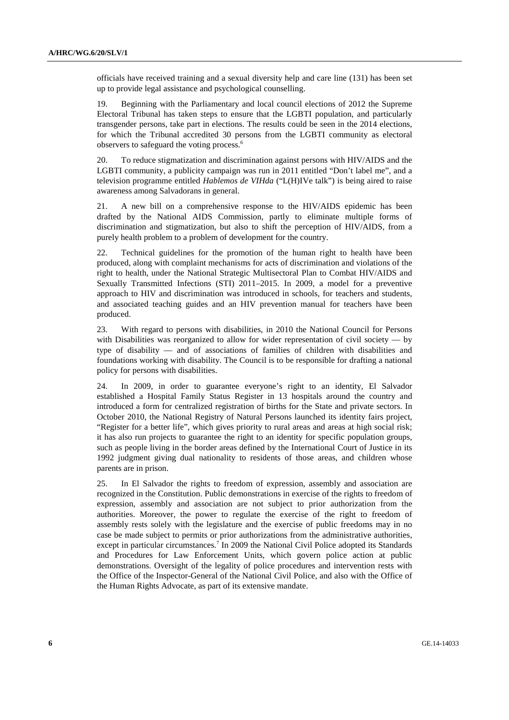officials have received training and a sexual diversity help and care line (131) has been set up to provide legal assistance and psychological counselling.

19. Beginning with the Parliamentary and local council elections of 2012 the Supreme Electoral Tribunal has taken steps to ensure that the LGBTI population, and particularly transgender persons, take part in elections. The results could be seen in the 2014 elections, for which the Tribunal accredited 30 persons from the LGBTI community as electoral observers to safeguard the voting process.6

20. To reduce stigmatization and discrimination against persons with HIV/AIDS and the LGBTI community, a publicity campaign was run in 2011 entitled "Don't label me", and a television programme entitled *Hablemos de VIHda* ("L(H)IVe talk") is being aired to raise awareness among Salvadorans in general.

21. A new bill on a comprehensive response to the HIV/AIDS epidemic has been drafted by the National AIDS Commission, partly to eliminate multiple forms of discrimination and stigmatization, but also to shift the perception of HIV/AIDS, from a purely health problem to a problem of development for the country.

22. Technical guidelines for the promotion of the human right to health have been produced, along with complaint mechanisms for acts of discrimination and violations of the right to health, under the National Strategic Multisectoral Plan to Combat HIV/AIDS and Sexually Transmitted Infections (STI) 2011–2015. In 2009, a model for a preventive approach to HIV and discrimination was introduced in schools, for teachers and students, and associated teaching guides and an HIV prevention manual for teachers have been produced.

23. With regard to persons with disabilities, in 2010 the National Council for Persons with Disabilities was reorganized to allow for wider representation of civil society  $-$  by type of disability — and of associations of families of children with disabilities and foundations working with disability. The Council is to be responsible for drafting a national policy for persons with disabilities.

24. In 2009, in order to guarantee everyone's right to an identity, El Salvador established a Hospital Family Status Register in 13 hospitals around the country and introduced a form for centralized registration of births for the State and private sectors. In October 2010, the National Registry of Natural Persons launched its identity fairs project, "Register for a better life", which gives priority to rural areas and areas at high social risk; it has also run projects to guarantee the right to an identity for specific population groups, such as people living in the border areas defined by the International Court of Justice in its 1992 judgment giving dual nationality to residents of those areas, and children whose parents are in prison.

25. In El Salvador the rights to freedom of expression, assembly and association are recognized in the Constitution. Public demonstrations in exercise of the rights to freedom of expression, assembly and association are not subject to prior authorization from the authorities. Moreover, the power to regulate the exercise of the right to freedom of assembly rests solely with the legislature and the exercise of public freedoms may in no case be made subject to permits or prior authorizations from the administrative authorities, except in particular circumstances.<sup>7</sup> In 2009 the National Civil Police adopted its Standards and Procedures for Law Enforcement Units, which govern police action at public demonstrations. Oversight of the legality of police procedures and intervention rests with the Office of the Inspector-General of the National Civil Police, and also with the Office of the Human Rights Advocate, as part of its extensive mandate.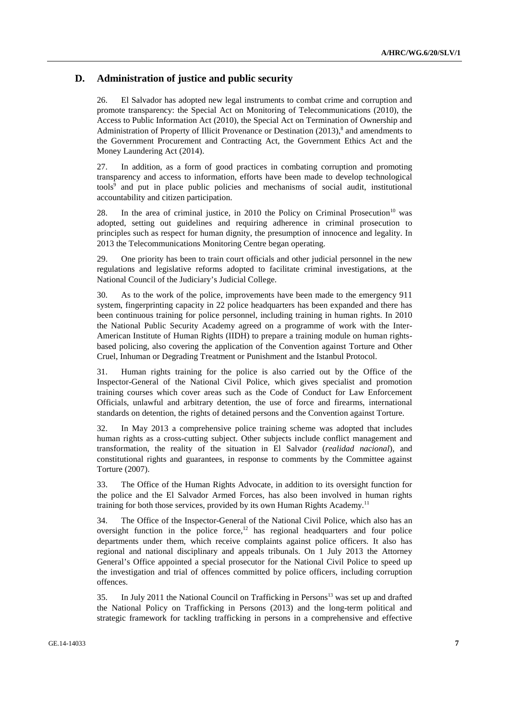# **D. Administration of justice and public security**

26. El Salvador has adopted new legal instruments to combat crime and corruption and promote transparency: the Special Act on Monitoring of Telecommunications (2010), the Access to Public Information Act (2010), the Special Act on Termination of Ownership and Administration of Property of Illicit Provenance or Destination (2013),<sup>8</sup> and amendments to the Government Procurement and Contracting Act, the Government Ethics Act and the Money Laundering Act (2014).

27. In addition, as a form of good practices in combating corruption and promoting transparency and access to information, efforts have been made to develop technological tools<sup>9</sup> and put in place public policies and mechanisms of social audit, institutional accountability and citizen participation.

28. In the area of criminal justice, in 2010 the Policy on Criminal Prosecution<sup>10</sup> was adopted, setting out guidelines and requiring adherence in criminal prosecution to principles such as respect for human dignity, the presumption of innocence and legality. In 2013 the Telecommunications Monitoring Centre began operating.

29. One priority has been to train court officials and other judicial personnel in the new regulations and legislative reforms adopted to facilitate criminal investigations, at the National Council of the Judiciary's Judicial College.

30. As to the work of the police, improvements have been made to the emergency 911 system, fingerprinting capacity in 22 police headquarters has been expanded and there has been continuous training for police personnel, including training in human rights. In 2010 the National Public Security Academy agreed on a programme of work with the Inter-American Institute of Human Rights (IIDH) to prepare a training module on human rightsbased policing, also covering the application of the Convention against Torture and Other Cruel, Inhuman or Degrading Treatment or Punishment and the Istanbul Protocol.

31. Human rights training for the police is also carried out by the Office of the Inspector-General of the National Civil Police, which gives specialist and promotion training courses which cover areas such as the Code of Conduct for Law Enforcement Officials, unlawful and arbitrary detention, the use of force and firearms, international standards on detention, the rights of detained persons and the Convention against Torture.

32. In May 2013 a comprehensive police training scheme was adopted that includes human rights as a cross-cutting subject. Other subjects include conflict management and transformation, the reality of the situation in El Salvador (*realidad nacional*), and constitutional rights and guarantees, in response to comments by the Committee against Torture (2007).

33. The Office of the Human Rights Advocate, in addition to its oversight function for the police and the El Salvador Armed Forces, has also been involved in human rights training for both those services, provided by its own Human Rights Academy.<sup>11</sup>

34. The Office of the Inspector-General of the National Civil Police, which also has an oversight function in the police force, $12$  has regional headquarters and four police departments under them, which receive complaints against police officers. It also has regional and national disciplinary and appeals tribunals. On 1 July 2013 the Attorney General's Office appointed a special prosecutor for the National Civil Police to speed up the investigation and trial of offences committed by police officers, including corruption offences.

35. In July 2011 the National Council on Trafficking in Persons<sup>13</sup> was set up and drafted the National Policy on Trafficking in Persons (2013) and the long-term political and strategic framework for tackling trafficking in persons in a comprehensive and effective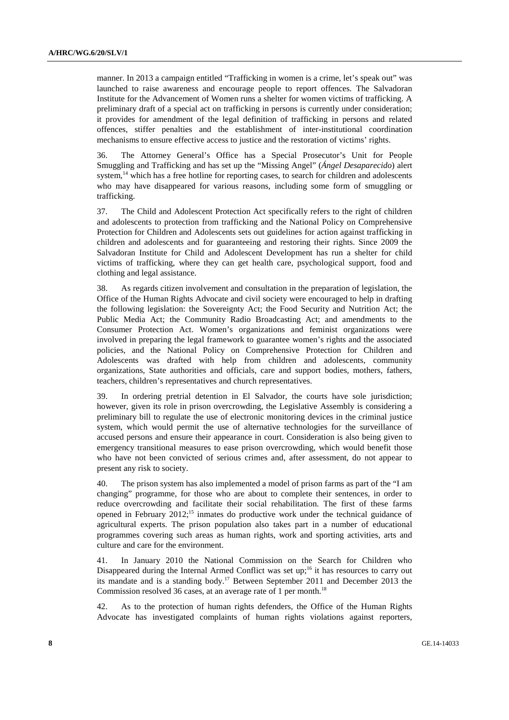manner. In 2013 a campaign entitled "Trafficking in women is a crime, let's speak out" was launched to raise awareness and encourage people to report offences. The Salvadoran Institute for the Advancement of Women runs a shelter for women victims of trafficking. A preliminary draft of a special act on trafficking in persons is currently under consideration; it provides for amendment of the legal definition of trafficking in persons and related offences, stiffer penalties and the establishment of inter-institutional coordination mechanisms to ensure effective access to justice and the restoration of victims' rights.

36. The Attorney General's Office has a Special Prosecutor's Unit for People Smuggling and Trafficking and has set up the "Missing Angel" (*Ángel Desaparecido*) alert system,<sup>14</sup> which has a free hotline for reporting cases, to search for children and adolescents who may have disappeared for various reasons, including some form of smuggling or trafficking.

37. The Child and Adolescent Protection Act specifically refers to the right of children and adolescents to protection from trafficking and the National Policy on Comprehensive Protection for Children and Adolescents sets out guidelines for action against trafficking in children and adolescents and for guaranteeing and restoring their rights. Since 2009 the Salvadoran Institute for Child and Adolescent Development has run a shelter for child victims of trafficking, where they can get health care, psychological support, food and clothing and legal assistance.

38. As regards citizen involvement and consultation in the preparation of legislation, the Office of the Human Rights Advocate and civil society were encouraged to help in drafting the following legislation: the Sovereignty Act; the Food Security and Nutrition Act; the Public Media Act; the Community Radio Broadcasting Act; and amendments to the Consumer Protection Act. Women's organizations and feminist organizations were involved in preparing the legal framework to guarantee women's rights and the associated policies, and the National Policy on Comprehensive Protection for Children and Adolescents was drafted with help from children and adolescents, community organizations, State authorities and officials, care and support bodies, mothers, fathers, teachers, children's representatives and church representatives.

39. In ordering pretrial detention in El Salvador, the courts have sole jurisdiction; however, given its role in prison overcrowding, the Legislative Assembly is considering a preliminary bill to regulate the use of electronic monitoring devices in the criminal justice system, which would permit the use of alternative technologies for the surveillance of accused persons and ensure their appearance in court. Consideration is also being given to emergency transitional measures to ease prison overcrowding, which would benefit those who have not been convicted of serious crimes and, after assessment, do not appear to present any risk to society.

40. The prison system has also implemented a model of prison farms as part of the "I am changing" programme, for those who are about to complete their sentences, in order to reduce overcrowding and facilitate their social rehabilitation. The first of these farms opened in February 2012;15 inmates do productive work under the technical guidance of agricultural experts. The prison population also takes part in a number of educational programmes covering such areas as human rights, work and sporting activities, arts and culture and care for the environment.

41. In January 2010 the National Commission on the Search for Children who Disappeared during the Internal Armed Conflict was set up;<sup>16</sup> it has resources to carry out its mandate and is a standing body.17 Between September 2011 and December 2013 the Commission resolved 36 cases, at an average rate of 1 per month.<sup>18</sup>

42. As to the protection of human rights defenders, the Office of the Human Rights Advocate has investigated complaints of human rights violations against reporters,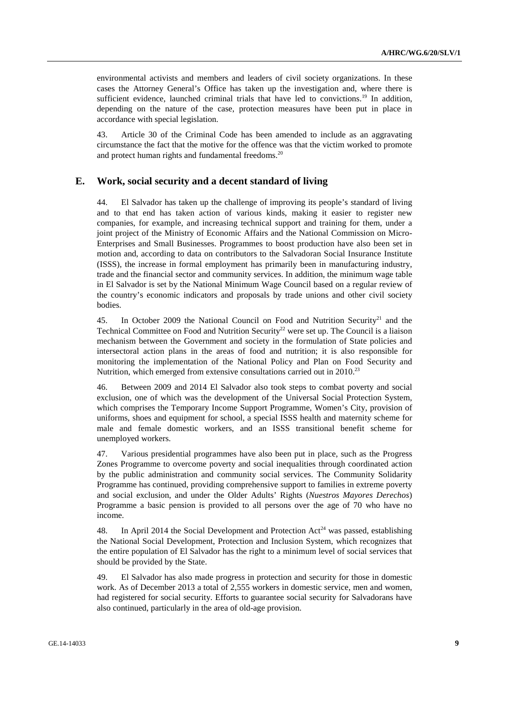environmental activists and members and leaders of civil society organizations. In these cases the Attorney General's Office has taken up the investigation and, where there is sufficient evidence, launched criminal trials that have led to convictions.19 In addition, depending on the nature of the case, protection measures have been put in place in accordance with special legislation.

43. Article 30 of the Criminal Code has been amended to include as an aggravating circumstance the fact that the motive for the offence was that the victim worked to promote and protect human rights and fundamental freedoms.<sup>20</sup>

# **E. Work, social security and a decent standard of living**

44. El Salvador has taken up the challenge of improving its people's standard of living and to that end has taken action of various kinds, making it easier to register new companies, for example, and increasing technical support and training for them, under a joint project of the Ministry of Economic Affairs and the National Commission on Micro-Enterprises and Small Businesses. Programmes to boost production have also been set in motion and, according to data on contributors to the Salvadoran Social Insurance Institute (ISSS), the increase in formal employment has primarily been in manufacturing industry, trade and the financial sector and community services. In addition, the minimum wage table in El Salvador is set by the National Minimum Wage Council based on a regular review of the country's economic indicators and proposals by trade unions and other civil society bodies.

45. In October 2009 the National Council on Food and Nutrition Security<sup>21</sup> and the Technical Committee on Food and Nutrition Security<sup>22</sup> were set up. The Council is a liaison mechanism between the Government and society in the formulation of State policies and intersectoral action plans in the areas of food and nutrition; it is also responsible for monitoring the implementation of the National Policy and Plan on Food Security and Nutrition, which emerged from extensive consultations carried out in 2010.<sup>23</sup>

46. Between 2009 and 2014 El Salvador also took steps to combat poverty and social exclusion, one of which was the development of the Universal Social Protection System, which comprises the Temporary Income Support Programme, Women's City, provision of uniforms, shoes and equipment for school, a special ISSS health and maternity scheme for male and female domestic workers, and an ISSS transitional benefit scheme for unemployed workers.

47. Various presidential programmes have also been put in place, such as the Progress Zones Programme to overcome poverty and social inequalities through coordinated action by the public administration and community social services. The Community Solidarity Programme has continued, providing comprehensive support to families in extreme poverty and social exclusion, and under the Older Adults' Rights (*Nuestros Mayores Derechos*) Programme a basic pension is provided to all persons over the age of 70 who have no income.

48. In April 2014 the Social Development and Protection  $Act^{24}$  was passed, establishing the National Social Development, Protection and Inclusion System, which recognizes that the entire population of El Salvador has the right to a minimum level of social services that should be provided by the State.

49. El Salvador has also made progress in protection and security for those in domestic work. As of December 2013 a total of 2,555 workers in domestic service, men and women, had registered for social security. Efforts to guarantee social security for Salvadorans have also continued, particularly in the area of old-age provision.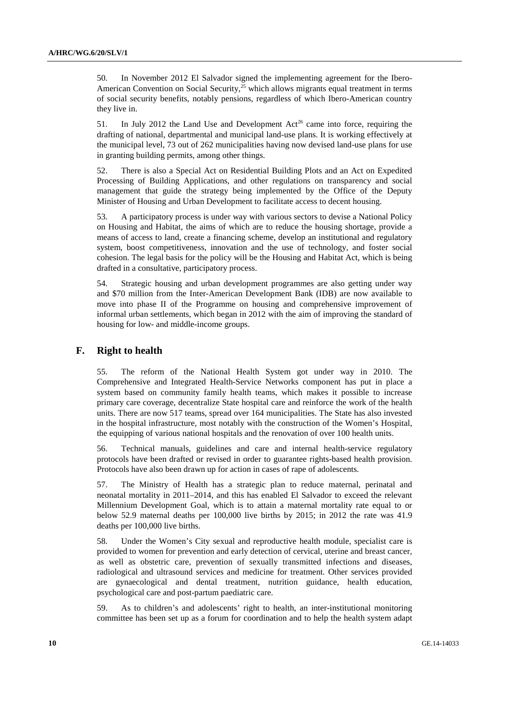50. In November 2012 El Salvador signed the implementing agreement for the Ibero-American Convention on Social Security,<sup>25</sup> which allows migrants equal treatment in terms of social security benefits, notably pensions, regardless of which Ibero-American country they live in.

51. In July 2012 the Land Use and Development  $Act^{26}$  came into force, requiring the drafting of national, departmental and municipal land-use plans. It is working effectively at the municipal level, 73 out of 262 municipalities having now devised land-use plans for use in granting building permits, among other things.

52. There is also a Special Act on Residential Building Plots and an Act on Expedited Processing of Building Applications, and other regulations on transparency and social management that guide the strategy being implemented by the Office of the Deputy Minister of Housing and Urban Development to facilitate access to decent housing.

53. A participatory process is under way with various sectors to devise a National Policy on Housing and Habitat, the aims of which are to reduce the housing shortage, provide a means of access to land, create a financing scheme, develop an institutional and regulatory system, boost competitiveness, innovation and the use of technology, and foster social cohesion. The legal basis for the policy will be the Housing and Habitat Act, which is being drafted in a consultative, participatory process.

54. Strategic housing and urban development programmes are also getting under way and \$70 million from the Inter-American Development Bank (IDB) are now available to move into phase II of the Programme on housing and comprehensive improvement of informal urban settlements, which began in 2012 with the aim of improving the standard of housing for low- and middle-income groups.

## **F. Right to health**

55. The reform of the National Health System got under way in 2010. The Comprehensive and Integrated Health-Service Networks component has put in place a system based on community family health teams, which makes it possible to increase primary care coverage, decentralize State hospital care and reinforce the work of the health units. There are now 517 teams, spread over 164 municipalities. The State has also invested in the hospital infrastructure, most notably with the construction of the Women's Hospital, the equipping of various national hospitals and the renovation of over 100 health units.

56. Technical manuals, guidelines and care and internal health-service regulatory protocols have been drafted or revised in order to guarantee rights-based health provision. Protocols have also been drawn up for action in cases of rape of adolescents.

57. The Ministry of Health has a strategic plan to reduce maternal, perinatal and neonatal mortality in 2011–2014, and this has enabled El Salvador to exceed the relevant Millennium Development Goal, which is to attain a maternal mortality rate equal to or below 52.9 maternal deaths per 100,000 live births by 2015; in 2012 the rate was 41.9 deaths per 100,000 live births.

58. Under the Women's City sexual and reproductive health module, specialist care is provided to women for prevention and early detection of cervical, uterine and breast cancer, as well as obstetric care, prevention of sexually transmitted infections and diseases, radiological and ultrasound services and medicine for treatment. Other services provided are gynaecological and dental treatment, nutrition guidance, health education, psychological care and post-partum paediatric care.

59. As to children's and adolescents' right to health, an inter-institutional monitoring committee has been set up as a forum for coordination and to help the health system adapt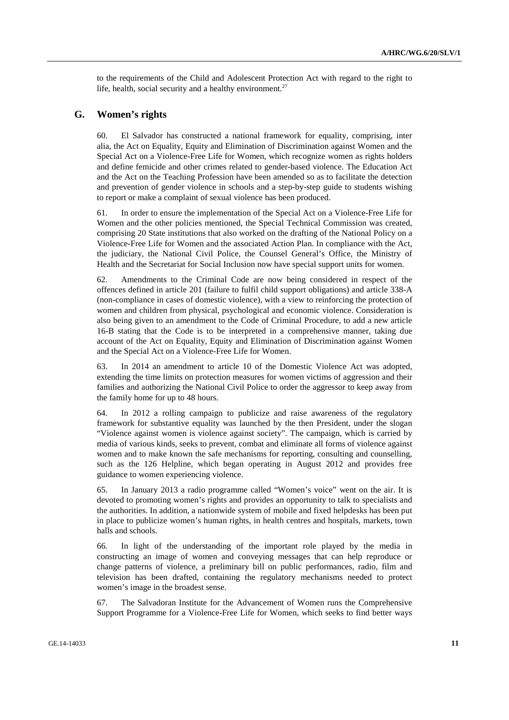to the requirements of the Child and Adolescent Protection Act with regard to the right to life, health, social security and a healthy environment.<sup>27</sup>

## **G. Women's rights**

60. El Salvador has constructed a national framework for equality, comprising, inter alia, the Act on Equality, Equity and Elimination of Discrimination against Women and the Special Act on a Violence-Free Life for Women, which recognize women as rights holders and define femicide and other crimes related to gender-based violence. The Education Act and the Act on the Teaching Profession have been amended so as to facilitate the detection and prevention of gender violence in schools and a step-by-step guide to students wishing to report or make a complaint of sexual violence has been produced.

61. In order to ensure the implementation of the Special Act on a Violence-Free Life for Women and the other policies mentioned, the Special Technical Commission was created, comprising 20 State institutions that also worked on the drafting of the National Policy on a Violence-Free Life for Women and the associated Action Plan. In compliance with the Act, the judiciary, the National Civil Police, the Counsel General's Office, the Ministry of Health and the Secretariat for Social Inclusion now have special support units for women.

62. Amendments to the Criminal Code are now being considered in respect of the offences defined in article 201 (failure to fulfil child support obligations) and article 338-A (non-compliance in cases of domestic violence), with a view to reinforcing the protection of women and children from physical, psychological and economic violence. Consideration is also being given to an amendment to the Code of Criminal Procedure, to add a new article 16-B stating that the Code is to be interpreted in a comprehensive manner, taking due account of the Act on Equality, Equity and Elimination of Discrimination against Women and the Special Act on a Violence-Free Life for Women.

63. In 2014 an amendment to article 10 of the Domestic Violence Act was adopted, extending the time limits on protection measures for women victims of aggression and their families and authorizing the National Civil Police to order the aggressor to keep away from the family home for up to 48 hours.

64. In 2012 a rolling campaign to publicize and raise awareness of the regulatory framework for substantive equality was launched by the then President, under the slogan "Violence against women is violence against society". The campaign, which is carried by media of various kinds, seeks to prevent, combat and eliminate all forms of violence against women and to make known the safe mechanisms for reporting, consulting and counselling, such as the 126 Helpline, which began operating in August 2012 and provides free guidance to women experiencing violence.

65. In January 2013 a radio programme called "Women's voice" went on the air. It is devoted to promoting women's rights and provides an opportunity to talk to specialists and the authorities. In addition, a nationwide system of mobile and fixed helpdesks has been put in place to publicize women's human rights, in health centres and hospitals, markets, town halls and schools.

66. In light of the understanding of the important role played by the media in constructing an image of women and conveying messages that can help reproduce or change patterns of violence, a preliminary bill on public performances, radio, film and television has been drafted, containing the regulatory mechanisms needed to protect women's image in the broadest sense.

67. The Salvadoran Institute for the Advancement of Women runs the Comprehensive Support Programme for a Violence-Free Life for Women, which seeks to find better ways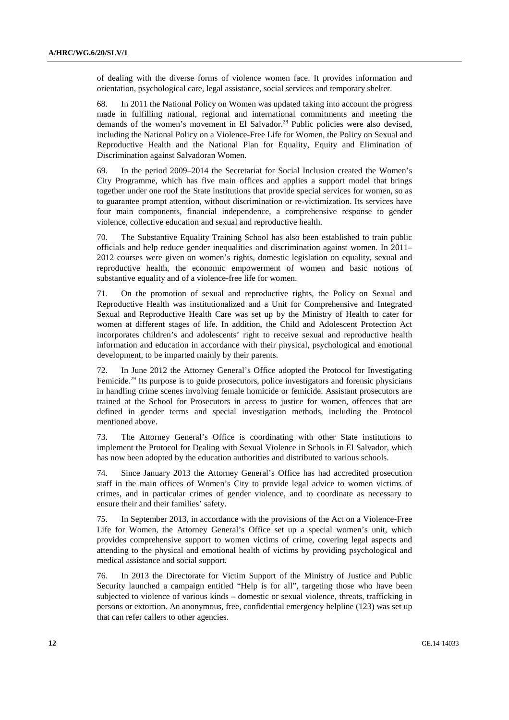of dealing with the diverse forms of violence women face. It provides information and orientation, psychological care, legal assistance, social services and temporary shelter.

68. In 2011 the National Policy on Women was updated taking into account the progress made in fulfilling national, regional and international commitments and meeting the demands of the women's movement in El Salvador.<sup>28</sup> Public policies were also devised, including the National Policy on a Violence-Free Life for Women, the Policy on Sexual and Reproductive Health and the National Plan for Equality, Equity and Elimination of Discrimination against Salvadoran Women.

69. In the period 2009–2014 the Secretariat for Social Inclusion created the Women's City Programme, which has five main offices and applies a support model that brings together under one roof the State institutions that provide special services for women, so as to guarantee prompt attention, without discrimination or re-victimization. Its services have four main components, financial independence, a comprehensive response to gender violence, collective education and sexual and reproductive health.

70. The Substantive Equality Training School has also been established to train public officials and help reduce gender inequalities and discrimination against women. In 2011– 2012 courses were given on women's rights, domestic legislation on equality, sexual and reproductive health, the economic empowerment of women and basic notions of substantive equality and of a violence-free life for women.

71. On the promotion of sexual and reproductive rights, the Policy on Sexual and Reproductive Health was institutionalized and a Unit for Comprehensive and Integrated Sexual and Reproductive Health Care was set up by the Ministry of Health to cater for women at different stages of life. In addition, the Child and Adolescent Protection Act incorporates children's and adolescents' right to receive sexual and reproductive health information and education in accordance with their physical, psychological and emotional development, to be imparted mainly by their parents.

72. In June 2012 the Attorney General's Office adopted the Protocol for Investigating Femicide.<sup>29</sup> Its purpose is to guide prosecutors, police investigators and forensic physicians in handling crime scenes involving female homicide or femicide. Assistant prosecutors are trained at the School for Prosecutors in access to justice for women, offences that are defined in gender terms and special investigation methods, including the Protocol mentioned above.

73. The Attorney General's Office is coordinating with other State institutions to implement the Protocol for Dealing with Sexual Violence in Schools in El Salvador, which has now been adopted by the education authorities and distributed to various schools.

74. Since January 2013 the Attorney General's Office has had accredited prosecution staff in the main offices of Women's City to provide legal advice to women victims of crimes, and in particular crimes of gender violence, and to coordinate as necessary to ensure their and their families' safety.

75. In September 2013, in accordance with the provisions of the Act on a Violence-Free Life for Women, the Attorney General's Office set up a special women's unit, which provides comprehensive support to women victims of crime, covering legal aspects and attending to the physical and emotional health of victims by providing psychological and medical assistance and social support.

76. In 2013 the Directorate for Victim Support of the Ministry of Justice and Public Security launched a campaign entitled "Help is for all", targeting those who have been subjected to violence of various kinds – domestic or sexual violence, threats, trafficking in persons or extortion. An anonymous, free, confidential emergency helpline (123) was set up that can refer callers to other agencies.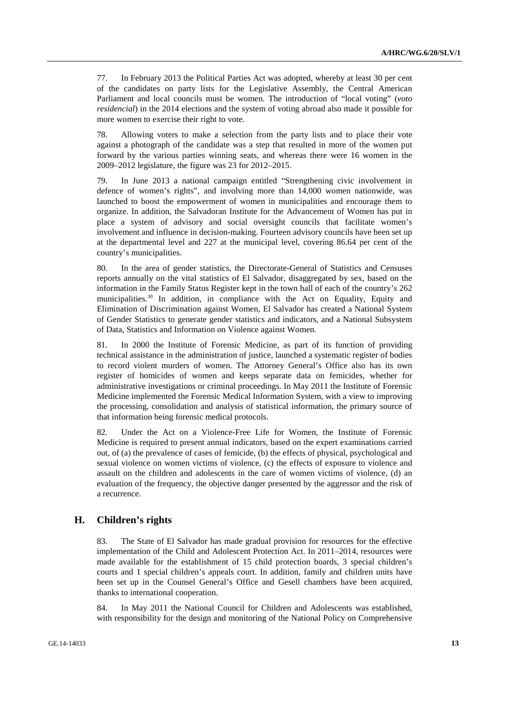77. In February 2013 the Political Parties Act was adopted, whereby at least 30 per cent of the candidates on party lists for the Legislative Assembly, the Central American Parliament and local councils must be women. The introduction of "local voting" (*voto residencial*) in the 2014 elections and the system of voting abroad also made it possible for more women to exercise their right to vote.

78. Allowing voters to make a selection from the party lists and to place their vote against a photograph of the candidate was a step that resulted in more of the women put forward by the various parties winning seats, and whereas there were 16 women in the 2009–2012 legislature, the figure was 23 for 2012–2015.

79. In June 2013 a national campaign entitled "Strengthening civic involvement in defence of women's rights", and involving more than 14,000 women nationwide, was launched to boost the empowerment of women in municipalities and encourage them to organize. In addition, the Salvadoran Institute for the Advancement of Women has put in place a system of advisory and social oversight councils that facilitate women's involvement and influence in decision-making. Fourteen advisory councils have been set up at the departmental level and 227 at the municipal level, covering 86.64 per cent of the country's municipalities.

80. In the area of gender statistics, the Directorate-General of Statistics and Censuses reports annually on the vital statistics of El Salvador, disaggregated by sex, based on the information in the Family Status Register kept in the town hall of each of the country's 262 municipalities.<sup>30</sup> In addition, in compliance with the Act on Equality, Equity and Elimination of Discrimination against Women, El Salvador has created a National System of Gender Statistics to generate gender statistics and indicators, and a National Subsystem of Data, Statistics and Information on Violence against Women.

81. In 2000 the Institute of Forensic Medicine, as part of its function of providing technical assistance in the administration of justice, launched a systematic register of bodies to record violent murders of women. The Attorney General's Office also has its own register of homicides of women and keeps separate data on femicides, whether for administrative investigations or criminal proceedings. In May 2011 the Institute of Forensic Medicine implemented the Forensic Medical Information System, with a view to improving the processing, consolidation and analysis of statistical information, the primary source of that information being forensic medical protocols.

82. Under the Act on a Violence-Free Life for Women, the Institute of Forensic Medicine is required to present annual indicators, based on the expert examinations carried out, of (a) the prevalence of cases of femicide, (b) the effects of physical, psychological and sexual violence on women victims of violence, (c) the effects of exposure to violence and assault on the children and adolescents in the care of women victims of violence, (d) an evaluation of the frequency, the objective danger presented by the aggressor and the risk of a recurrence.

# **H. Children's rights**

83. The State of El Salvador has made gradual provision for resources for the effective implementation of the Child and Adolescent Protection Act. In 2011–2014, resources were made available for the establishment of 15 child protection boards, 3 special children's courts and 1 special children's appeals court. In addition, family and children units have been set up in the Counsel General's Office and Gesell chambers have been acquired, thanks to international cooperation.

84. In May 2011 the National Council for Children and Adolescents was established, with responsibility for the design and monitoring of the National Policy on Comprehensive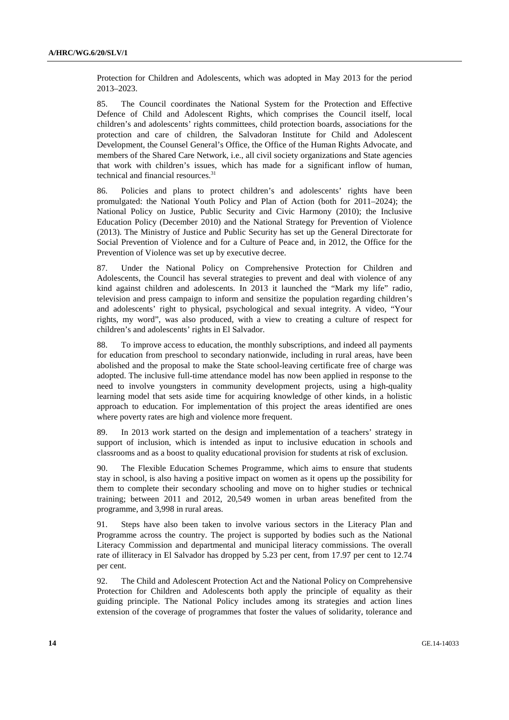Protection for Children and Adolescents, which was adopted in May 2013 for the period 2013–2023.

85. The Council coordinates the National System for the Protection and Effective Defence of Child and Adolescent Rights, which comprises the Council itself, local children's and adolescents' rights committees, child protection boards, associations for the protection and care of children, the Salvadoran Institute for Child and Adolescent Development, the Counsel General's Office, the Office of the Human Rights Advocate, and members of the Shared Care Network, i.e., all civil society organizations and State agencies that work with children's issues, which has made for a significant inflow of human, technical and financial resources.31

86. Policies and plans to protect children's and adolescents' rights have been promulgated: the National Youth Policy and Plan of Action (both for 2011–2024); the National Policy on Justice, Public Security and Civic Harmony (2010); the Inclusive Education Policy (December 2010) and the National Strategy for Prevention of Violence (2013). The Ministry of Justice and Public Security has set up the General Directorate for Social Prevention of Violence and for a Culture of Peace and, in 2012, the Office for the Prevention of Violence was set up by executive decree.

87. Under the National Policy on Comprehensive Protection for Children and Adolescents, the Council has several strategies to prevent and deal with violence of any kind against children and adolescents. In 2013 it launched the "Mark my life" radio, television and press campaign to inform and sensitize the population regarding children's and adolescents' right to physical, psychological and sexual integrity. A video, "Your rights, my word", was also produced, with a view to creating a culture of respect for children's and adolescents' rights in El Salvador.

88. To improve access to education, the monthly subscriptions, and indeed all payments for education from preschool to secondary nationwide, including in rural areas, have been abolished and the proposal to make the State school-leaving certificate free of charge was adopted. The inclusive full-time attendance model has now been applied in response to the need to involve youngsters in community development projects, using a high-quality learning model that sets aside time for acquiring knowledge of other kinds, in a holistic approach to education. For implementation of this project the areas identified are ones where poverty rates are high and violence more frequent.

89. In 2013 work started on the design and implementation of a teachers' strategy in support of inclusion, which is intended as input to inclusive education in schools and classrooms and as a boost to quality educational provision for students at risk of exclusion.

90. The Flexible Education Schemes Programme, which aims to ensure that students stay in school, is also having a positive impact on women as it opens up the possibility for them to complete their secondary schooling and move on to higher studies or technical training; between 2011 and 2012, 20,549 women in urban areas benefited from the programme, and 3,998 in rural areas.

91. Steps have also been taken to involve various sectors in the Literacy Plan and Programme across the country. The project is supported by bodies such as the National Literacy Commission and departmental and municipal literacy commissions. The overall rate of illiteracy in El Salvador has dropped by 5.23 per cent, from 17.97 per cent to 12.74 per cent.

92. The Child and Adolescent Protection Act and the National Policy on Comprehensive Protection for Children and Adolescents both apply the principle of equality as their guiding principle. The National Policy includes among its strategies and action lines extension of the coverage of programmes that foster the values of solidarity, tolerance and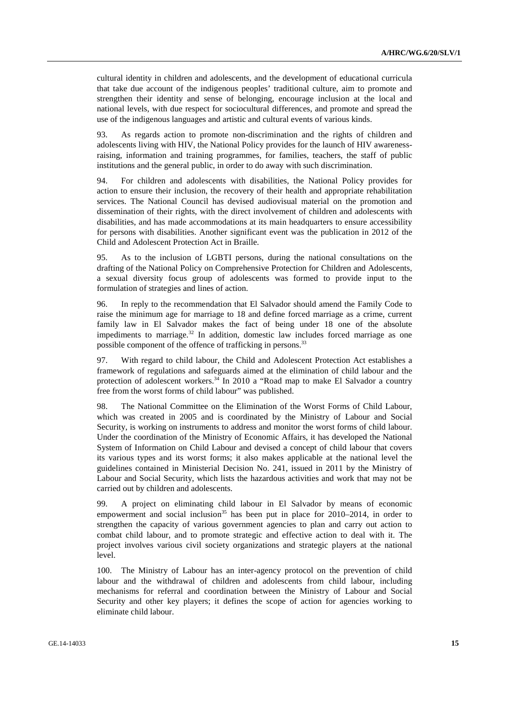cultural identity in children and adolescents, and the development of educational curricula that take due account of the indigenous peoples' traditional culture, aim to promote and strengthen their identity and sense of belonging, encourage inclusion at the local and national levels, with due respect for sociocultural differences, and promote and spread the use of the indigenous languages and artistic and cultural events of various kinds.

93. As regards action to promote non-discrimination and the rights of children and adolescents living with HIV, the National Policy provides for the launch of HIV awarenessraising, information and training programmes, for families, teachers, the staff of public institutions and the general public, in order to do away with such discrimination.

94. For children and adolescents with disabilities, the National Policy provides for action to ensure their inclusion, the recovery of their health and appropriate rehabilitation services. The National Council has devised audiovisual material on the promotion and dissemination of their rights, with the direct involvement of children and adolescents with disabilities, and has made accommodations at its main headquarters to ensure accessibility for persons with disabilities. Another significant event was the publication in 2012 of the Child and Adolescent Protection Act in Braille.

95. As to the inclusion of LGBTI persons, during the national consultations on the drafting of the National Policy on Comprehensive Protection for Children and Adolescents, a sexual diversity focus group of adolescents was formed to provide input to the formulation of strategies and lines of action.

96. In reply to the recommendation that El Salvador should amend the Family Code to raise the minimum age for marriage to 18 and define forced marriage as a crime, current family law in El Salvador makes the fact of being under 18 one of the absolute impediments to marriage.<sup>32</sup> In addition, domestic law includes forced marriage as one possible component of the offence of trafficking in persons.<sup>33</sup>

97. With regard to child labour, the Child and Adolescent Protection Act establishes a framework of regulations and safeguards aimed at the elimination of child labour and the protection of adolescent workers.<sup>34</sup> In 2010 a "Road map to make El Salvador a country free from the worst forms of child labour" was published.

98. The National Committee on the Elimination of the Worst Forms of Child Labour, which was created in 2005 and is coordinated by the Ministry of Labour and Social Security, is working on instruments to address and monitor the worst forms of child labour. Under the coordination of the Ministry of Economic Affairs, it has developed the National System of Information on Child Labour and devised a concept of child labour that covers its various types and its worst forms; it also makes applicable at the national level the guidelines contained in Ministerial Decision No. 241, issued in 2011 by the Ministry of Labour and Social Security, which lists the hazardous activities and work that may not be carried out by children and adolescents.

99. A project on eliminating child labour in El Salvador by means of economic empowerment and social inclusion<sup>35</sup> has been put in place for 2010–2014, in order to strengthen the capacity of various government agencies to plan and carry out action to combat child labour, and to promote strategic and effective action to deal with it. The project involves various civil society organizations and strategic players at the national level.

100. The Ministry of Labour has an inter-agency protocol on the prevention of child labour and the withdrawal of children and adolescents from child labour, including mechanisms for referral and coordination between the Ministry of Labour and Social Security and other key players; it defines the scope of action for agencies working to eliminate child labour.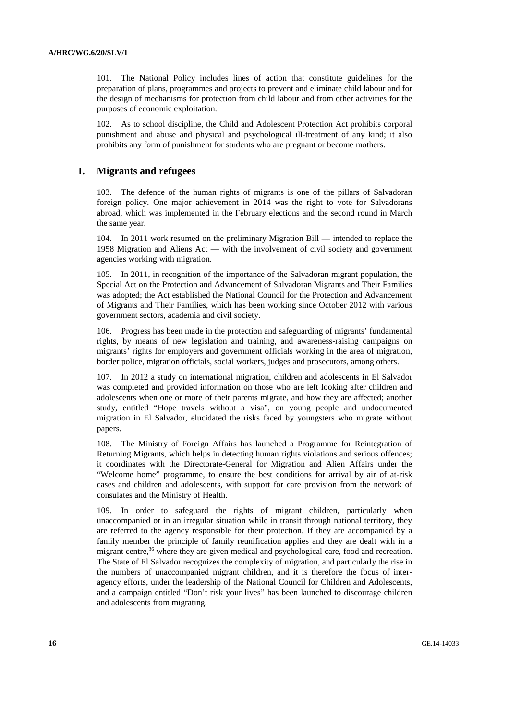101. The National Policy includes lines of action that constitute guidelines for the preparation of plans, programmes and projects to prevent and eliminate child labour and for the design of mechanisms for protection from child labour and from other activities for the purposes of economic exploitation.

102. As to school discipline, the Child and Adolescent Protection Act prohibits corporal punishment and abuse and physical and psychological ill-treatment of any kind; it also prohibits any form of punishment for students who are pregnant or become mothers.

#### **I. Migrants and refugees**

103. The defence of the human rights of migrants is one of the pillars of Salvadoran foreign policy. One major achievement in 2014 was the right to vote for Salvadorans abroad, which was implemented in the February elections and the second round in March the same year.

104. In 2011 work resumed on the preliminary Migration Bill — intended to replace the 1958 Migration and Aliens Act — with the involvement of civil society and government agencies working with migration.

105. In 2011, in recognition of the importance of the Salvadoran migrant population, the Special Act on the Protection and Advancement of Salvadoran Migrants and Their Families was adopted; the Act established the National Council for the Protection and Advancement of Migrants and Their Families, which has been working since October 2012 with various government sectors, academia and civil society.

106. Progress has been made in the protection and safeguarding of migrants' fundamental rights, by means of new legislation and training, and awareness-raising campaigns on migrants' rights for employers and government officials working in the area of migration, border police, migration officials, social workers, judges and prosecutors, among others.

107. In 2012 a study on international migration, children and adolescents in El Salvador was completed and provided information on those who are left looking after children and adolescents when one or more of their parents migrate, and how they are affected; another study, entitled "Hope travels without a visa", on young people and undocumented migration in El Salvador, elucidated the risks faced by youngsters who migrate without papers.

108. The Ministry of Foreign Affairs has launched a Programme for Reintegration of Returning Migrants, which helps in detecting human rights violations and serious offences; it coordinates with the Directorate-General for Migration and Alien Affairs under the "Welcome home" programme, to ensure the best conditions for arrival by air of at-risk cases and children and adolescents, with support for care provision from the network of consulates and the Ministry of Health.

109. In order to safeguard the rights of migrant children, particularly when unaccompanied or in an irregular situation while in transit through national territory, they are referred to the agency responsible for their protection. If they are accompanied by a family member the principle of family reunification applies and they are dealt with in a migrant centre,<sup>36</sup> where they are given medical and psychological care, food and recreation. The State of El Salvador recognizes the complexity of migration, and particularly the rise in the numbers of unaccompanied migrant children, and it is therefore the focus of interagency efforts, under the leadership of the National Council for Children and Adolescents, and a campaign entitled "Don't risk your lives" has been launched to discourage children and adolescents from migrating.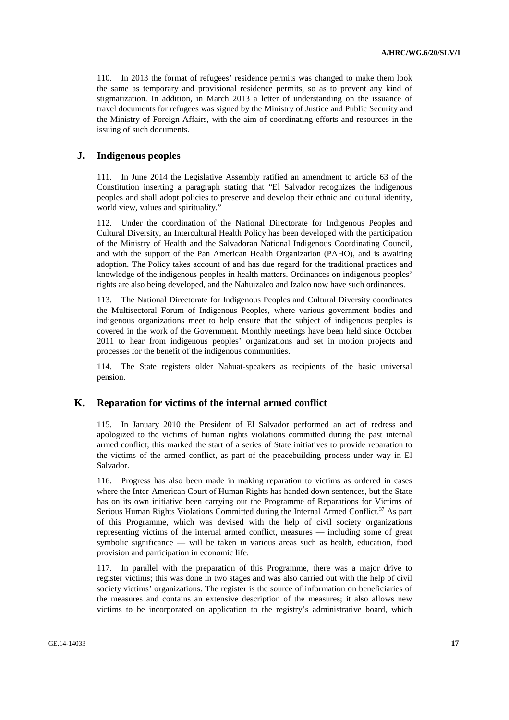110. In 2013 the format of refugees' residence permits was changed to make them look the same as temporary and provisional residence permits, so as to prevent any kind of stigmatization. In addition, in March 2013 a letter of understanding on the issuance of travel documents for refugees was signed by the Ministry of Justice and Public Security and the Ministry of Foreign Affairs, with the aim of coordinating efforts and resources in the issuing of such documents.

# **J. Indigenous peoples**

111. In June 2014 the Legislative Assembly ratified an amendment to article 63 of the Constitution inserting a paragraph stating that "El Salvador recognizes the indigenous peoples and shall adopt policies to preserve and develop their ethnic and cultural identity, world view, values and spirituality."

112. Under the coordination of the National Directorate for Indigenous Peoples and Cultural Diversity, an Intercultural Health Policy has been developed with the participation of the Ministry of Health and the Salvadoran National Indigenous Coordinating Council, and with the support of the Pan American Health Organization (PAHO), and is awaiting adoption. The Policy takes account of and has due regard for the traditional practices and knowledge of the indigenous peoples in health matters. Ordinances on indigenous peoples' rights are also being developed, and the Nahuizalco and Izalco now have such ordinances.

113. The National Directorate for Indigenous Peoples and Cultural Diversity coordinates the Multisectoral Forum of Indigenous Peoples, where various government bodies and indigenous organizations meet to help ensure that the subject of indigenous peoples is covered in the work of the Government. Monthly meetings have been held since October 2011 to hear from indigenous peoples' organizations and set in motion projects and processes for the benefit of the indigenous communities.

114. The State registers older Nahuat-speakers as recipients of the basic universal pension.

# **K. Reparation for victims of the internal armed conflict**

115. In January 2010 the President of El Salvador performed an act of redress and apologized to the victims of human rights violations committed during the past internal armed conflict; this marked the start of a series of State initiatives to provide reparation to the victims of the armed conflict, as part of the peacebuilding process under way in El Salvador.

116. Progress has also been made in making reparation to victims as ordered in cases where the Inter-American Court of Human Rights has handed down sentences, but the State has on its own initiative been carrying out the Programme of Reparations for Victims of Serious Human Rights Violations Committed during the Internal Armed Conflict.<sup>37</sup> As part of this Programme, which was devised with the help of civil society organizations representing victims of the internal armed conflict, measures — including some of great symbolic significance — will be taken in various areas such as health, education, food provision and participation in economic life.

117. In parallel with the preparation of this Programme, there was a major drive to register victims; this was done in two stages and was also carried out with the help of civil society victims' organizations. The register is the source of information on beneficiaries of the measures and contains an extensive description of the measures; it also allows new victims to be incorporated on application to the registry's administrative board, which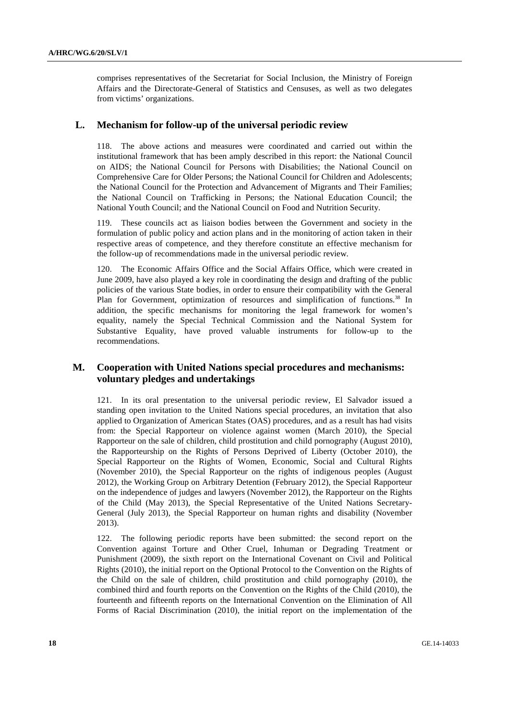comprises representatives of the Secretariat for Social Inclusion, the Ministry of Foreign Affairs and the Directorate-General of Statistics and Censuses, as well as two delegates from victims' organizations.

# **L. Mechanism for follow-up of the universal periodic review**

118. The above actions and measures were coordinated and carried out within the institutional framework that has been amply described in this report: the National Council on AIDS; the National Council for Persons with Disabilities; the National Council on Comprehensive Care for Older Persons; the National Council for Children and Adolescents; the National Council for the Protection and Advancement of Migrants and Their Families; the National Council on Trafficking in Persons; the National Education Council; the National Youth Council; and the National Council on Food and Nutrition Security.

119. These councils act as liaison bodies between the Government and society in the formulation of public policy and action plans and in the monitoring of action taken in their respective areas of competence, and they therefore constitute an effective mechanism for the follow-up of recommendations made in the universal periodic review.

120. The Economic Affairs Office and the Social Affairs Office, which were created in June 2009, have also played a key role in coordinating the design and drafting of the public policies of the various State bodies, in order to ensure their compatibility with the General Plan for Government, optimization of resources and simplification of functions.<sup>38</sup> In addition, the specific mechanisms for monitoring the legal framework for women's equality, namely the Special Technical Commission and the National System for Substantive Equality, have proved valuable instruments for follow-up to the recommendations.

# **M. Cooperation with United Nations special procedures and mechanisms: voluntary pledges and undertakings**

121. In its oral presentation to the universal periodic review, El Salvador issued a standing open invitation to the United Nations special procedures, an invitation that also applied to Organization of American States (OAS) procedures, and as a result has had visits from: the Special Rapporteur on violence against women (March 2010), the Special Rapporteur on the sale of children, child prostitution and child pornography (August 2010), the Rapporteurship on the Rights of Persons Deprived of Liberty (October 2010), the Special Rapporteur on the Rights of Women, Economic, Social and Cultural Rights (November 2010), the Special Rapporteur on the rights of indigenous peoples (August 2012), the Working Group on Arbitrary Detention (February 2012), the Special Rapporteur on the independence of judges and lawyers (November 2012), the Rapporteur on the Rights of the Child (May 2013), the Special Representative of the United Nations Secretary-General (July 2013), the Special Rapporteur on human rights and disability (November 2013).

122. The following periodic reports have been submitted: the second report on the Convention against Torture and Other Cruel, Inhuman or Degrading Treatment or Punishment (2009), the sixth report on the International Covenant on Civil and Political Rights (2010), the initial report on the Optional Protocol to the Convention on the Rights of the Child on the sale of children, child prostitution and child pornography (2010), the combined third and fourth reports on the Convention on the Rights of the Child (2010), the fourteenth and fifteenth reports on the International Convention on the Elimination of All Forms of Racial Discrimination (2010), the initial report on the implementation of the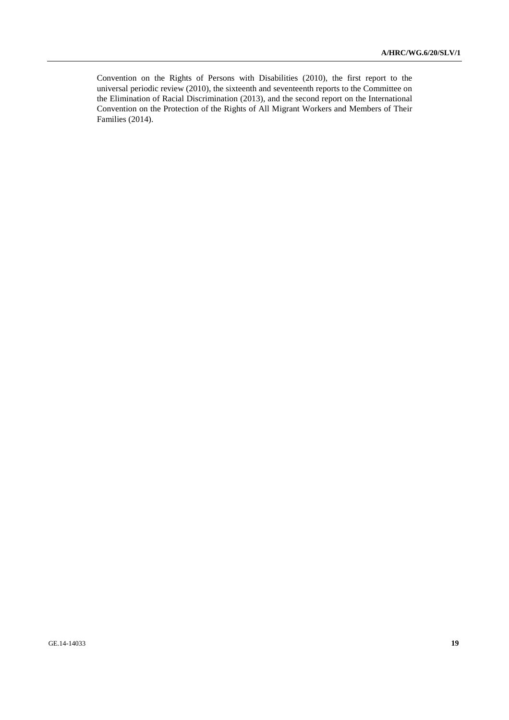Convention on the Rights of Persons with Disabilities (2010), the first report to the universal periodic review (2010), the sixteenth and seventeenth reports to the Committee on the Elimination of Racial Discrimination (2013), and the second report on the International Convention on the Protection of the Rights of All Migrant Workers and Members of Their Families (2014).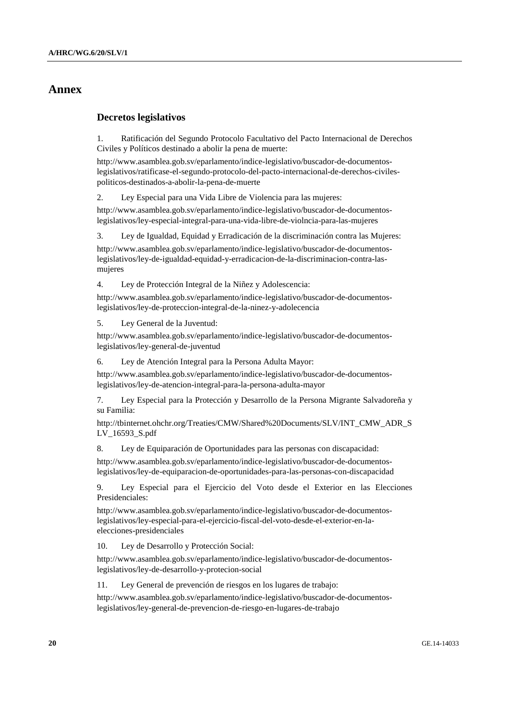# **Annex**

## **Decretos legislativos**

1. Ratificación del Segundo Protocolo Facultativo del Pacto Internacional de Derechos Civiles y Políticos destinado a abolir la pena de muerte:

http://www.asamblea.gob.sv/eparlamento/indice-legislativo/buscador-de-documentoslegislativos/ratificase-el-segundo-protocolo-del-pacto-internacional-de-derechos-civilespoliticos-destinados-a-abolir-la-pena-de-muerte

2. Ley Especial para una Vida Libre de Violencia para las mujeres:

http://www.asamblea.gob.sv/eparlamento/indice-legislativo/buscador-de-documentoslegislativos/ley-especial-integral-para-una-vida-libre-de-violncia-para-las-mujeres

3. Ley de Igualdad, Equidad y Erradicación de la discriminación contra las Mujeres:

http://www.asamblea.gob.sv/eparlamento/indice-legislativo/buscador-de-documentoslegislativos/ley-de-igualdad-equidad-y-erradicacion-de-la-discriminacion-contra-lasmujeres

4. Ley de Protección Integral de la Niñez y Adolescencia:

http://www.asamblea.gob.sv/eparlamento/indice-legislativo/buscador-de-documentoslegislativos/ley-de-proteccion-integral-de-la-ninez-y-adolecencia

5. Ley General de la Juventud:

http://www.asamblea.gob.sv/eparlamento/indice-legislativo/buscador-de-documentoslegislativos/ley-general-de-juventud

6. Ley de Atención Integral para la Persona Adulta Mayor:

http://www.asamblea.gob.sv/eparlamento/indice-legislativo/buscador-de-documentoslegislativos/ley-de-atencion-integral-para-la-persona-adulta-mayor

7. Ley Especial para la Protección y Desarrollo de la Persona Migrante Salvadoreña y su Familia:

http://tbinternet.ohchr.org/Treaties/CMW/Shared%20Documents/SLV/INT\_CMW\_ADR\_S LV\_16593\_S.pdf

8. Ley de Equiparación de Oportunidades para las personas con discapacidad:

http://www.asamblea.gob.sv/eparlamento/indice-legislativo/buscador-de-documentoslegislativos/ley-de-equiparacion-de-oportunidades-para-las-personas-con-discapacidad

9. Ley Especial para el Ejercicio del Voto desde el Exterior en las Elecciones Presidenciales:

http://www.asamblea.gob.sv/eparlamento/indice-legislativo/buscador-de-documentoslegislativos/ley-especial-para-el-ejercicio-fiscal-del-voto-desde-el-exterior-en-laelecciones-presidenciales

10. Ley de Desarrollo y Protección Social:

http://www.asamblea.gob.sv/eparlamento/indice-legislativo/buscador-de-documentoslegislativos/ley-de-desarrollo-y-protecion-social

11. Ley General de prevención de riesgos en los lugares de trabajo:

http://www.asamblea.gob.sv/eparlamento/indice-legislativo/buscador-de-documentoslegislativos/ley-general-de-prevencion-de-riesgo-en-lugares-de-trabajo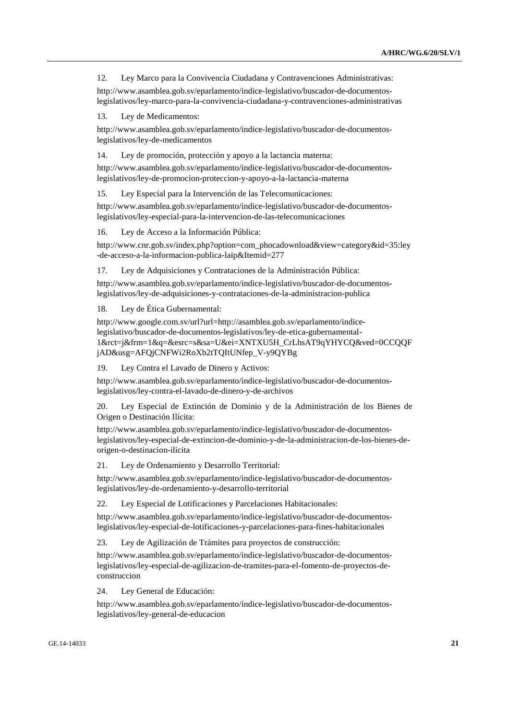12. Ley Marco para la Convivencia Ciudadana y Contravenciones Administrativas:

http://www.asamblea.gob.sv/eparlamento/indice-legislativo/buscador-de-documentoslegislativos/ley-marco-para-la-convivencia-ciudadana-y-contravenciones-administrativas

13. Ley de Medicamentos:

http://www.asamblea.gob.sv/eparlamento/indice-legislativo/buscador-de-documentoslegislativos/ley-de-medicamentos

14. Ley de promoción, protección y apoyo a la lactancia materna:

http://www.asamblea.gob.sv/eparlamento/indice-legislativo/buscador-de-documentoslegislativos/ley-de-promocion-proteccion-y-apoyo-a-la-lactancia-materna

15. Ley Especial para la Intervención de las Telecomunicaciones:

http://www.asamblea.gob.sv/eparlamento/indice-legislativo/buscador-de-documentoslegislativos/ley-especial-para-la-intervencion-de-las-telecomunicaciones

16. Ley de Acceso a la Información Pública:

http://www.cnr.gob.sv/index.php?option=com\_phocadownload&view=category&id=35:ley -de-acceso-a-la-informacion-publica-laip&Itemid=277

17. Ley de Adquisiciones y Contrataciones de la Administración Pública:

http://www.asamblea.gob.sv/eparlamento/indice-legislativo/buscador-de-documentoslegislativos/ley-de-adquisiciones-y-contrataciones-de-la-administracion-publica

18. Ley de Ética Gubernamental:

http://www.google.com.sv/url?url=http://asamblea.gob.sv/eparlamento/indicelegislativo/buscador-de-documentos-legislativos/ley-de-etica-gubernamental-1&rct=j&frm=1&q=&esrc=s&sa=U&ei=XNTXU5H\_CrLhsAT9qYHYCQ&ved=0CCQQF jAD&usg=AFQjCNFWi2RoXb2tTQItUNfep\_V-y9QYBg

19. Ley Contra el Lavado de Dinero y Activos:

http://www.asamblea.gob.sv/eparlamento/indice-legislativo/buscador-de-documentoslegislativos/ley-contra-el-lavado-de-dinero-y-de-archivos

20. Ley Especial de Extinción de Dominio y de la Administración de los Bienes de Origen o Destinación Ilícita:

http://www.asamblea.gob.sv/eparlamento/indice-legislativo/buscador-de-documentoslegislativos/ley-especial-de-extincion-de-dominio-y-de-la-administracion-de-los-bienes-deorigen-o-destinacion-ilicita

21. Ley de Ordenamiento y Desarrollo Territorial:

http://www.asamblea.gob.sv/eparlamento/indice-legislativo/buscador-de-documentoslegislativos/ley-de-ordenamiento-y-desarrollo-territorial

22. Ley Especial de Lotificaciones y Parcelaciones Habitacionales:

http://www.asamblea.gob.sv/eparlamento/indice-legislativo/buscador-de-documentoslegislativos/ley-especial-de-lotificaciones-y-parcelaciones-para-fines-habitacionales

23. Ley de Agilización de Trámites para proyectos de construcción:

http://www.asamblea.gob.sv/eparlamento/indice-legislativo/buscador-de-documentoslegislativos/ley-especial-de-agilizacion-de-tramites-para-el-fomento-de-proyectos-deconstruccion

24. Ley General de Educación:

http://www.asamblea.gob.sv/eparlamento/indice-legislativo/buscador-de-documentoslegislativos/ley-general-de-educacion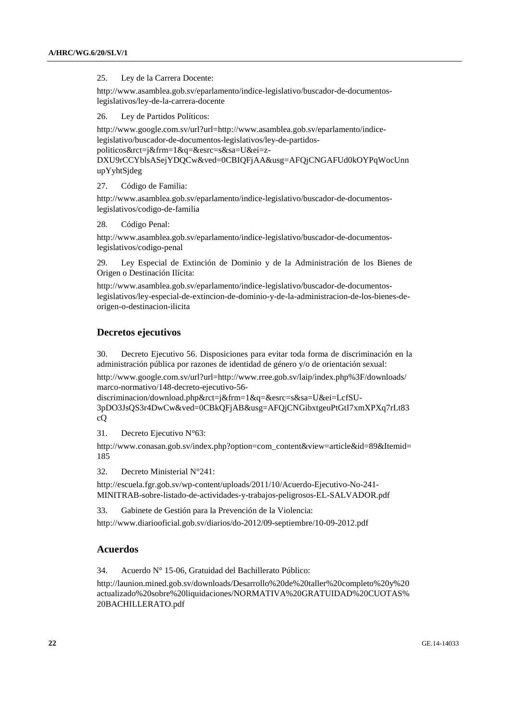#### 25. Ley de la Carrera Docente:

http://www.asamblea.gob.sv/eparlamento/indice-legislativo/buscador-de-documentoslegislativos/ley-de-la-carrera-docente

26. Ley de Partidos Políticos:

http://www.google.com.sv/url?url=http://www.asamblea.gob.sv/eparlamento/indicelegislativo/buscador-de-documentos-legislativos/ley-de-partidospoliticos&rct=j&frm=1&q=&esrc=s&sa=U&ei=z-DXU9rCCYblsASejYDQCw&ved=0CBIQFjAA&usg=AFQjCNGAFUd0kOYPqWocUnn upYyhtSjdeg

27. Código de Familia:

http://www.asamblea.gob.sv/eparlamento/indice-legislativo/buscador-de-documentoslegislativos/codigo-de-familia

28. Código Penal:

http://www.asamblea.gob.sv/eparlamento/indice-legislativo/buscador-de-documentoslegislativos/codigo-penal

29. Ley Especial de Extinción de Dominio y de la Administración de los Bienes de Origen o Destinación Ilícita:

http://www.asamblea.gob.sv/eparlamento/indice-legislativo/buscador-de-documentoslegislativos/ley-especial-de-extincion-de-dominio-y-de-la-administracion-de-los-bienes-deorigen-o-destinacion-ilicita

## **Decretos ejecutivos**

30. Decreto Ejecutivo 56. Disposiciones para evitar toda forma de discriminación en la administración pública por razones de identidad de género y/o de orientación sexual:

http://www.google.com.sv/url?url=http://www.rree.gob.sv/laip/index.php%3F/downloads/ marco-normativo/148-decreto-ejecutivo-56-

discriminacion/download.php&rct=j&frm=1&q=&esrc=s&sa=U&ei=LcfSU-

3pDO3JsQS3r4DwCw&ved=0CBkQFjAB&usg=AFQjCNGibxtgeuPtGtI7xmXPXq7rLt83 cQ

31. Decreto Ejecutivo N°63:

http://www.conasan.gob.sv/index.php?option=com\_content&view=article&id=89&Itemid= 185

32. Decreto Ministerial N°241:

http://escuela.fgr.gob.sv/wp-content/uploads/2011/10/Acuerdo-Ejecutivo-No-241- MINITRAB-sobre-listado-de-actividades-y-trabajos-peligrosos-EL-SALVADOR.pdf

33. Gabinete de Gestión para la Prevención de la Violencia:

http://www.diariooficial.gob.sv/diarios/do-2012/09-septiembre/10-09-2012.pdf

# **Acuerdos**

34. Acuerdo N° 15-06, Gratuidad del Bachillerato Público:

http://launion.mined.gob.sv/downloads/Desarrollo%20de%20taller%20completo%20y%20 actualizado%20sobre%20liquidaciones/NORMATIVA%20GRATUIDAD%20CUOTAS% 20BACHILLERATO.pdf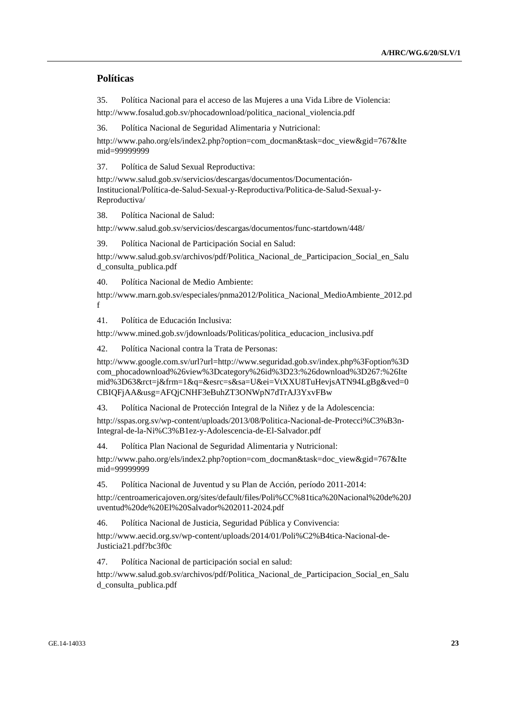# **Políticas**

35. Política Nacional para el acceso de las Mujeres a una Vida Libre de Violencia: http://www.fosalud.gob.sv/phocadownload/politica\_nacional\_violencia.pdf

36. Política Nacional de Seguridad Alimentaria y Nutricional:

http://www.paho.org/els/index2.php?option=com\_docman&task=doc\_view&gid=767&Ite mid=99999999

37. Política de Salud Sexual Reproductiva:

http://www.salud.gob.sv/servicios/descargas/documentos/Documentación-Institucional/Política-de-Salud-Sexual-y-Reproductiva/Politica-de-Salud-Sexual-y-Reproductiva/

38. Política Nacional de Salud:

http://www.salud.gob.sv/servicios/descargas/documentos/func-startdown/448/

39. Política Nacional de Participación Social en Salud:

http://www.salud.gob.sv/archivos/pdf/Politica\_Nacional\_de\_Participacion\_Social\_en\_Salu d\_consulta\_publica.pdf

40. Política Nacional de Medio Ambiente:

http://www.marn.gob.sv/especiales/pnma2012/Politica\_Nacional\_MedioAmbiente\_2012.pd f

41. Política de Educación Inclusiva:

http://www.mined.gob.sv/jdownloads/Politicas/politica\_educacion\_inclusiva.pdf

42. Política Nacional contra la Trata de Personas:

http://www.google.com.sv/url?url=http://www.seguridad.gob.sv/index.php%3Foption%3D com\_phocadownload%26view%3Dcategory%26id%3D23:%26download%3D267:%26Ite mid%3D63&rct=j&frm=1&q=&esrc=s&sa=U&ei=VtXXU8TuHevjsATN94LgBg&ved=0 CBIQFjAA&usg=AFQjCNHF3eBuhZT3ONWpN7dTrAJ3YxvFBw

43. Política Nacional de Protección Integral de la Niñez y de la Adolescencia:

http://sspas.org.sv/wp-content/uploads/2013/08/Politica-Nacional-de-Protecci%C3%B3n-Integral-de-la-Ni%C3%B1ez-y-Adolescencia-de-El-Salvador.pdf

44. Política Plan Nacional de Seguridad Alimentaria y Nutricional:

http://www.paho.org/els/index2.php?option=com\_docman&task=doc\_view&gid=767&Ite mid=99999999

45. Política Nacional de Juventud y su Plan de Acción, período 2011-2014:

http://centroamericajoven.org/sites/default/files/Poli%CC%81tica%20Nacional%20de%20J uventud%20de%20El%20Salvador%202011-2024.pdf

46. Política Nacional de Justicia, Seguridad Pública y Convivencia:

http://www.aecid.org.sv/wp-content/uploads/2014/01/Poli%C2%B4tica-Nacional-de-Justicia21.pdf?bc3f0c

47. Política Nacional de participación social en salud:

http://www.salud.gob.sv/archivos/pdf/Politica\_Nacional\_de\_Participacion\_Social\_en\_Salu d\_consulta\_publica.pdf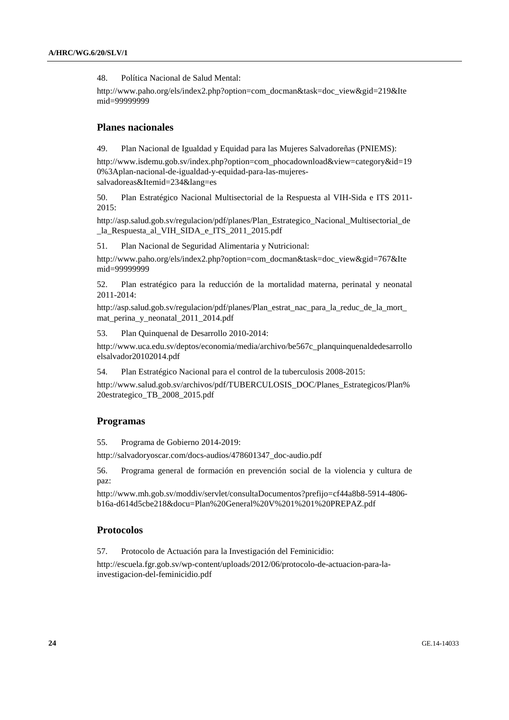48. Política Nacional de Salud Mental:

http://www.paho.org/els/index2.php?option=com\_docman&task=doc\_view&gid=219&Ite mid=99999999

# **Planes nacionales**

49. Plan Nacional de Igualdad y Equidad para las Mujeres Salvadoreñas (PNIEMS):

http://www.isdemu.gob.sv/index.php?option=com\_phocadownload&view=category&id=19 0%3Aplan-nacional-de-igualdad-y-equidad-para-las-mujeressalvadoreas&Itemid=234&lang=es

50. Plan Estratégico Nacional Multisectorial de la Respuesta al VIH-Sida e ITS 2011- 2015:

http://asp.salud.gob.sv/regulacion/pdf/planes/Plan\_Estrategico\_Nacional\_Multisectorial\_de la Respuesta al VIH SIDA e ITS 2011 2015.pdf

51. Plan Nacional de Seguridad Alimentaria y Nutricional:

http://www.paho.org/els/index2.php?option=com\_docman&task=doc\_view&gid=767&Ite mid=99999999

52. Plan estratégico para la reducción de la mortalidad materna, perinatal y neonatal 2011-2014:

http://asp.salud.gob.sv/regulacion/pdf/planes/Plan\_estrat\_nac\_para\_la\_reduc\_de\_la\_mort mat perina y neonatal 2011 2014.pdf

53. Plan Quinquenal de Desarrollo 2010-2014:

http://www.uca.edu.sv/deptos/economia/media/archivo/be567c\_planquinquenaldedesarrollo elsalvador20102014.pdf

54. Plan Estratégico Nacional para el control de la tuberculosis 2008-2015:

http://www.salud.gob.sv/archivos/pdf/TUBERCULOSIS\_DOC/Planes\_Estrategicos/Plan% 20estrategico\_TB\_2008\_2015.pdf

#### **Programas**

55. Programa de Gobierno 2014-2019:

http://salvadoryoscar.com/docs-audios/478601347\_doc-audio.pdf

56. Programa general de formación en prevención social de la violencia y cultura de paz:

http://www.mh.gob.sv/moddiv/servlet/consultaDocumentos?prefijo=cf44a8b8-5914-4806 b16a-d614d5cbe218&docu=Plan%20General%20V%201%201%20PREPAZ.pdf

#### **Protocolos**

57. Protocolo de Actuación para la Investigación del Feminicidio:

http://escuela.fgr.gob.sv/wp-content/uploads/2012/06/protocolo-de-actuacion-para-lainvestigacion-del-feminicidio.pdf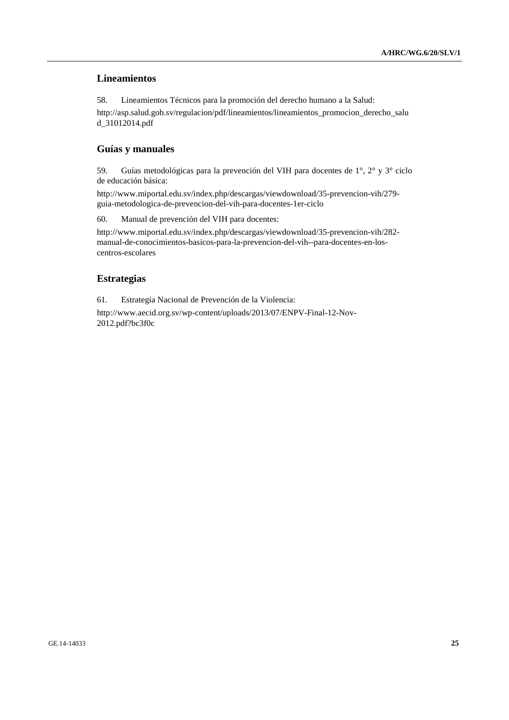# **Lineamientos**

58. Lineamientos Técnicos para la promoción del derecho humano a la Salud: http://asp.salud.gob.sv/regulacion/pdf/lineamientos/lineamientos\_promocion\_derecho\_salu d\_31012014.pdf

# **Guías y manuales**

59. Guías metodológicas para la prevención del VIH para docentes de 1°, 2° y 3° ciclo de educación básica:

http://www.miportal.edu.sv/index.php/descargas/viewdownload/35-prevencion-vih/279 guia-metodologica-de-prevencion-del-vih-para-docentes-1er-ciclo

60. Manual de prevención del VIH para docentes:

http://www.miportal.edu.sv/index.php/descargas/viewdownload/35-prevencion-vih/282 manual-de-conocimientos-basicos-para-la-prevencion-del-vih--para-docentes-en-loscentros-escolares

# **Estrategias**

61. Estrategia Nacional de Prevención de la Violencia:

http://www.aecid.org.sv/wp-content/uploads/2013/07/ENPV-Final-12-Nov-2012.pdf?bc3f0c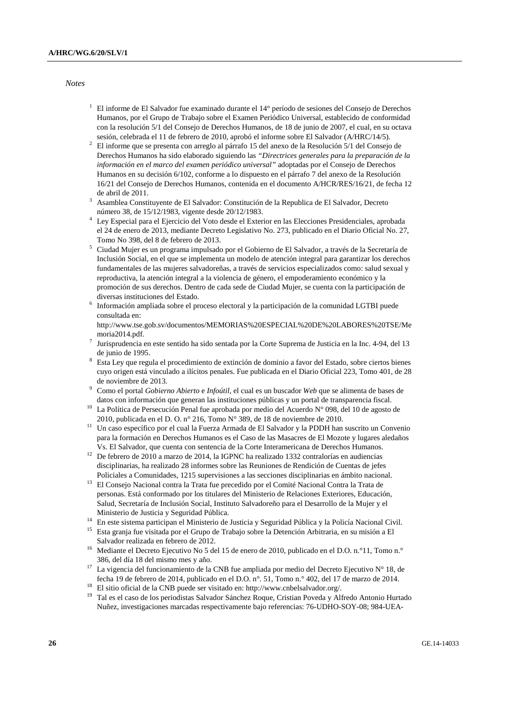*Notes* 

- <sup>1</sup> El informe de El Salvador fue examinado durante el 14° período de sesiones del Consejo de Derechos Humanos, por el Grupo de Trabajo sobre el Examen Periódico Universal, establecido de conformidad con la resolución 5/1 del Consejo de Derechos Humanos, de 18 de junio de 2007, el cual, en su octava
- sesión, celebrada el 11 de febrero de 2010, aprobó el informe sobre El Salvador (A/HRC/14/5). 2 El informe que se presenta con arreglo al párrafo 15 del anexo de la Resolución 5/1 del Consejo de Derechos Humanos ha sido elaborado siguiendo las *"Directrices generales para la preparación de la información en el marco del examen periódico universal"* adoptadas por el Consejo de Derechos Humanos en su decisión 6/102, conforme a lo dispuesto en el párrafo 7 del anexo de la Resolución 16/21 del Consejo de Derechos Humanos, contenida en el documento A/HCR/RES/16/21, de fecha 12 de abril de 2011.
- Asamblea Constituyente de El Salvador: Constitución de la Republica de El Salvador, Decreto número 38, de 15/12/1983, vigente desde 20/12/1983. 4
- Ley Especial para el Ejercicio del Voto desde el Exterior en las Elecciones Presidenciales, aprobada el 24 de enero de 2013, mediante Decreto Legislativo No. 273, publicado en el Diario Oficial No. 27,
- Tomo No 398, del 8 de febrero de 2013. 5 Ciudad Mujer es un programa impulsado por el Gobierno de El Salvador, a través de la Secretaría de Inclusión Social, en el que se implementa un modelo de atención integral para garantizar los derechos fundamentales de las mujeres salvadoreñas, a través de servicios especializados como: salud sexual y reproductiva, la atención integral a la violencia de género, el empoderamiento económico y la promoción de sus derechos. Dentro de cada sede de Ciudad Mujer, se cuenta con la participación de diversas instituciones del Estado.<br>6 Lefementificamentiale achieval an
- Información ampliada sobre el proceso electoral y la participación de la comunidad LGTBI puede consultada en:

http://www.tse.gob.sv/documentos/MEMORIAS%20ESPECIAL%20DE%20LABORES%20TSE/Me moria2014.pdf. 7

- Jurisprudencia en este sentido ha sido sentada por la Corte Suprema de Justicia en la Inc. 4-94, del 13 de junio de 1995.
- Esta Ley que regula el procedimiento de extinción de dominio a favor del Estado, sobre ciertos bienes cuyo origen está vinculado a ilícitos penales. Fue publicada en el Diario Oficial 223, Tomo 401, de 28 de noviembre de 2013.
- Como el portal *Gobierno Abierto* e *Infoútil,* el cual es un buscador *Web* que se alimenta de bases de
- datos con información que generan las instituciones públicas y un portal de transparencia fiscal.<br><sup>10</sup> La Política de Persecución Penal fue aprobada por medio del Acuerdo N° 098, del 10 de agosto de 2010, publicada en el
- <sup>11</sup> Un caso específico por el cual la Fuerza Armada de El Salvador y la PDDH han suscrito un Convenio para la formación en Derechos Humanos es el Caso de las Masacres de El Mozote y lugares aledaños
- Vs. El Salvador, que cuenta con sentencia de la Corte Interamericana de Derechos Humanos. 12 De febrero de 2010 a marzo de 2014, la IGPNC ha realizado 1332 contralorías en audiencias disciplinarias, ha realizado 28 informes sobre las Reuniones de Rendición de Cuentas de jefes
- Policiales a Comunidades, 1215 supervisiones a las secciones disciplinarias en ámbito nacional. 13 El Consejo Nacional contra la Trata fue precedido por el Comité Nacional Contra la Trata de personas. Está conformado por los titulares del Ministerio de Relaciones Exteriores, Educación, Salud, Secretaría de Inclusión Social, Instituto Salvadoreño para el Desarrollo de la Mujer y el
- Ministerio de Justicia y Seguridad Pública.<br><sup>14</sup> En este sistema participan el Ministerio de Justicia y Seguridad Pública y la Policía Nacional Civil.<br><sup>15</sup> Esta granja fue visitada por el Grupo de Trabajo sobre la Detenció
- 
- Salvador realizada en febrero de 2012.<br><sup>16</sup> Mediante el Decreto Ejecutivo No 5 del 15 de enero de 2010, publicado en el D.O. n.º11, Tomo n.º 386, del día 18 del mismo mes y año.<br><sup>17</sup> La vigencia del funcionamiento de la CNB fue ampliada por medio del Decreto Ejecutivo N° 18, de
- fecha 19 de febrero de 2014, publicado en el D.O. n°. 51, Tomo n.° 402, del 17 de marzo de 2014. 18 El sitio oficial de la CNB puede ser visitado en: http://www.cnbelsalvador.org/.
- 
- 19 Tal es el caso de los periodistas Salvador Sánchez Roque, Cristian Poveda y Alfredo Antonio Hurtado Nuñez, investigaciones marcadas respectivamente bajo referencias: 76-UDHO-SOY-08; 984-UEA-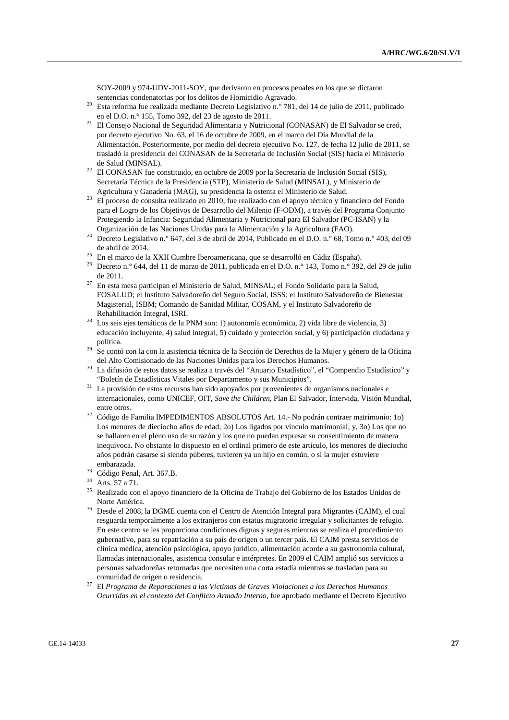SOY-2009 y 974-UDV-2011-SOY, que derivaron en procesos penales en los que se dictaron

- sentencias condenatorias por los delitos de Homicidio Agravado. 20 Esta reforma fue realizada mediante Decreto Legislativo n.° 781, del 14 de julio de 2011, publicado
- en el D.O. n.° 155, Tomo 392, del 23 de agosto de 2011. 21 El Consejo Nacional de Seguridad Alimentaria y Nutricional (CONASAN) de El Salvador se creó, por decreto ejecutivo No. 63, el 16 de octubre de 2009, en el marco del Día Mundial de la Alimentación. Posteriormente, por medio del decreto ejecutivo No. 127, de fecha 12 julio de 2011, se trasladó la presidencia del CONASAN de la Secretaría de Inclusión Social (SIS) hacia el Ministerio
- de Salud (MINSAL).<br><sup>22</sup> El CONASAN fue constituido, en octubre de 2009 por la Secretaría de Inclusión Social (SIS), Secretaría Técnica de la Presidencia (STP), Ministerio de Salud (MINSAL), y Ministerio de
- Agricultura y Ganadería (MAG), su presidencia la ostenta el Ministerio de Salud. 23 El proceso de consulta realizado en 2010, fue realizado con el apoyo técnico y financiero del Fondo para el Logro de los Objetivos de Desarrollo del Milenio (F-ODM), a través del Programa Conjunto Protegiendo la Infancia: Seguridad Alimentaria y Nutricional para El Salvador (PC-ISAN) y la
- Organización de las Naciones Unidas para la Alimentación y la Agricultura (FAO). 24 Decreto Legislativo n.° 647, del 3 de abril de 2014, Publicado en el D.O. n.° 68, Tomo n.° 403, del 09
- de abril de 2014. 25 En el marco de la XXII Cumbre Iberoamericana, que se desarrolló en Cádiz (España).
- <sup>26</sup> Decreto n.º 644, del 11 de marzo de 2011, publicada en el D.O. n.º 143, Tomo n.º 392, del 29 de julio
- de 2011. 27 En esta mesa participan el Ministerio de Salud, MINSAL; el Fondo Solidario para la Salud, FOSALUD; el Instituto Salvadoreño del Seguro Social, ISSS; el Instituto Salvadoreño de Bienestar Magisterial, ISBM; Comando de Sanidad Militar, COSAM, y el Instituto Salvadoreño de
- Rehabilitación Integral, ISRI. 28 Los seis ejes temáticos de la PNM son: 1) autonomía económica, 2) vida libre de violencia, 3) educación incluyente, 4) salud integral, 5) cuidado y protección social, y 6) participación ciudadana y política. 29 Se contó con la con la asistencia técnica de la Sección de Derechos de la Mujer y género de la Oficina
- del Alto Comisionado de las Naciones Unidas para los Derechos Humanos.<br>La difusión de estos datos se realiza a través del "Anuario Estadístico", el "Compendio Estadístico" y
- 
- "Boletín de Estadísticas Vitales por Departamento y sus Municipios". 31 La provisión de estos recursos han sido apoyados por provenientes de organismos nacionales e internacionales, como UNICEF, OIT, *Save the Children*, Plan El Salvador, Intervida, Visión Mundial,
- entre otros. 32 Código de Familia IMPEDIMENTOS ABSOLUTOS Art. 14.- No podrán contraer matrimonio: 1o) Los menores de dieciocho años de edad; 2o) Los ligados por vínculo matrimonial; y, 3o) Los que no se hallaren en el pleno uso de su razón y los que no puedan expresar su consentimiento de manera inequívoca. No obstante lo dispuesto en el ordinal primero de este artículo, los menores de dieciocho años podrán casarse si siendo púberes, tuvieren ya un hijo en común, o si la mujer estuviere
- embarazada. 33 Código Penal, Art. 367.B.
- 34 Arts. 57 a 71.
- 35 Realizado con el apoyo financiero de la Oficina de Trabajo del Gobierno de los Estados Unidos de
- Norte América. 36 Desde el 2008, la DGME cuenta con el Centro de Atención Integral para Migrantes (CAIM), el cual resguarda temporalmente a los extranjeros con estatus migratorio irregular y solicitantes de refugio. En este centro se les proporciona condiciones dignas y seguras mientras se realiza el procedimiento gubernativo, para su repatriación a su país de origen o un tercer país. El CAIM presta servicios de clínica médica, atención psicológica, apoyo jurídico, alimentación acorde a su gastronomía cultural, llamadas internacionales, asistencia consular e intérpretes. En 2009 el CAIM amplió sus servicios a personas salvadoreñas retornadas que necesiten una corta estadía mientras se trasladan para su comunidad de origen o residencia.<br>37 El *Programa de Reparaciones a las Víctimas de Graves Violaciones a los Derechos Humanos*
- *Ocurridas en el contexto del Conflicto Armado Interno*, fue aprobado mediante el Decreto Ejecutivo